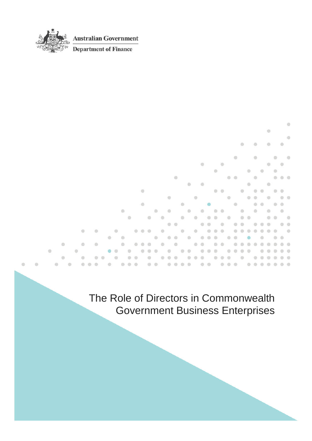

**Australian Government** 

**Department of Finance** 

 $\odot$ ö  $\circledcirc$ ö ö  $\oplus$  $\alpha$  $00$ Ø. ö iti. ö ö  $\Box$ d3 ö d) **i** ä  $\overline{m}$ ö ö  $\circ$ ă. d) s G)  $\frac{1}{2}$  $\sqrt{2}$ z. ä ó ä  $\alpha$ in. e  $\ddot{\text{o}}$ ö ۰  $\oplus$ ö a  $\circ$ a.  $\ddot{\circ}$ ä ö  $\odot$ **in** Ö ö ö  $\odot$  $\overline{a}$ ō ö  $\begin{array}{c} \circ \\ \circ \end{array}$ ė  $\alpha$ ă  $\color{red}{\bullet}$ ø  $\oplus$  $\circ$ d) m ä ö  $\sqrt{2}$ ó  $\ddot{\text{o}}$  $\alpha$ ó ä **OD**  $\overline{a}$ a. m  $\blacksquare$ m  $\blacksquare$ il)  $<sup>1</sup>$ </sup> ÷ ÷  $\bigcirc$ **COL** m  $\bullet$  $0.0$  $0 0 0 0$  $\circ$  $0.0.0$  $0\ \ 0\ \ 0\ \ 0\ \ 0$  $\alpha$  $\alpha$  $\Omega$  $\Rightarrow$  $\langle \sigma \rangle$  $\langle \hat{z} \rangle$  $\circ$  $\alpha$  $\circ$ 

> The Role of Directors in Commonwealth Government Business Enterprises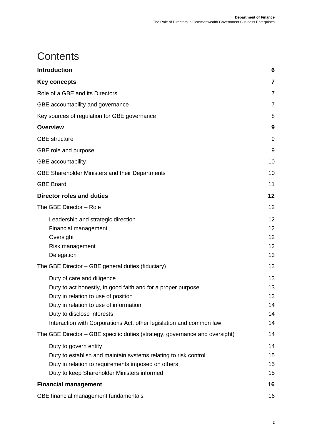# **Contents**

| <b>Introduction</b>                                                                                                                                                                                                                                                              | 6                                |
|----------------------------------------------------------------------------------------------------------------------------------------------------------------------------------------------------------------------------------------------------------------------------------|----------------------------------|
| Key concepts                                                                                                                                                                                                                                                                     | $\overline{7}$                   |
| Role of a GBE and its Directors                                                                                                                                                                                                                                                  | 7                                |
| GBE accountability and governance                                                                                                                                                                                                                                                | 7                                |
| Key sources of regulation for GBE governance                                                                                                                                                                                                                                     | 8                                |
| <b>Overview</b>                                                                                                                                                                                                                                                                  | 9                                |
| <b>GBE</b> structure                                                                                                                                                                                                                                                             | 9                                |
| GBE role and purpose                                                                                                                                                                                                                                                             | 9                                |
| <b>GBE</b> accountability                                                                                                                                                                                                                                                        | 10                               |
| <b>GBE Shareholder Ministers and their Departments</b>                                                                                                                                                                                                                           | 10                               |
| <b>GBE Board</b>                                                                                                                                                                                                                                                                 | 11                               |
| <b>Director roles and duties</b>                                                                                                                                                                                                                                                 | 12                               |
| The GBE Director - Role                                                                                                                                                                                                                                                          | 12                               |
| Leadership and strategic direction<br>Financial management<br>Oversight<br>Risk management<br>Delegation                                                                                                                                                                         | 12<br>12<br>12<br>12<br>13       |
| The GBE Director - GBE general duties (fiduciary)                                                                                                                                                                                                                                | 13                               |
| Duty of care and diligence<br>Duty to act honestly, in good faith and for a proper purpose<br>Duty in relation to use of position<br>Duty in relation to use of information<br>Duty to disclose interests<br>Interaction with Corporations Act, other legislation and common law | 13<br>13<br>13<br>14<br>14<br>14 |
| The GBE Director – GBE specific duties (strategy, governance and oversight)                                                                                                                                                                                                      | 14                               |
| Duty to govern entity<br>Duty to establish and maintain systems relating to risk control<br>Duty in relation to requirements imposed on others<br>Duty to keep Shareholder Ministers informed                                                                                    | 14<br>15<br>15<br>15             |
| <b>Financial management</b>                                                                                                                                                                                                                                                      | 16                               |
| GBE financial management fundamentals                                                                                                                                                                                                                                            | 16                               |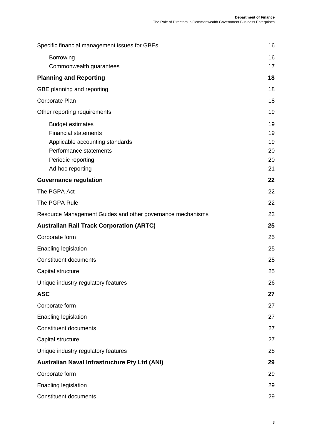| Specific financial management issues for GBEs                                                                                                                 | 16                               |
|---------------------------------------------------------------------------------------------------------------------------------------------------------------|----------------------------------|
| Borrowing                                                                                                                                                     | 16                               |
| Commonwealth guarantees                                                                                                                                       | 17                               |
| <b>Planning and Reporting</b>                                                                                                                                 | 18                               |
| GBE planning and reporting                                                                                                                                    | 18                               |
| Corporate Plan                                                                                                                                                | 18                               |
| Other reporting requirements                                                                                                                                  | 19                               |
| <b>Budget estimates</b><br><b>Financial statements</b><br>Applicable accounting standards<br>Performance statements<br>Periodic reporting<br>Ad-hoc reporting | 19<br>19<br>19<br>20<br>20<br>21 |
| <b>Governance regulation</b>                                                                                                                                  | 22                               |
| The PGPA Act                                                                                                                                                  | 22                               |
| The PGPA Rule                                                                                                                                                 | 22                               |
| Resource Management Guides and other governance mechanisms                                                                                                    | 23                               |
| <b>Australian Rail Track Corporation (ARTC)</b>                                                                                                               | 25                               |
| Corporate form                                                                                                                                                | 25                               |
| Enabling legislation                                                                                                                                          | 25                               |
| <b>Constituent documents</b>                                                                                                                                  | 25                               |
| Capital structure                                                                                                                                             | 25                               |
| Unique industry regulatory features                                                                                                                           | 26                               |
| <b>ASC</b>                                                                                                                                                    | 27                               |
| Corporate form                                                                                                                                                | 27                               |
|                                                                                                                                                               |                                  |
| Enabling legislation                                                                                                                                          | 27                               |
| <b>Constituent documents</b>                                                                                                                                  | 27                               |
| Capital structure                                                                                                                                             | 27                               |
| Unique industry regulatory features                                                                                                                           | 28                               |
| <b>Australian Naval Infrastructure Pty Ltd (ANI)</b>                                                                                                          | 29                               |
| Corporate form                                                                                                                                                | 29                               |
| Enabling legislation                                                                                                                                          | 29                               |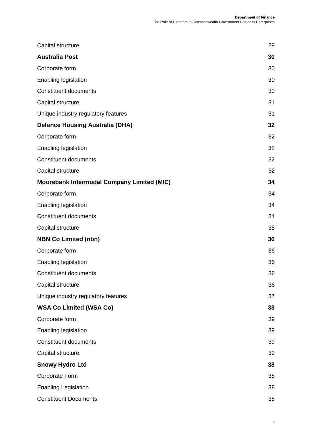| Capital structure                                 | 29 |
|---------------------------------------------------|----|
| <b>Australia Post</b>                             | 30 |
| Corporate form                                    | 30 |
| Enabling legislation                              | 30 |
| <b>Constituent documents</b>                      | 30 |
| Capital structure                                 | 31 |
| Unique industry regulatory features               | 31 |
| <b>Defence Housing Australia (DHA)</b>            | 32 |
| Corporate form                                    | 32 |
| Enabling legislation                              | 32 |
| <b>Constituent documents</b>                      | 32 |
| Capital structure                                 | 32 |
| <b>Moorebank Intermodal Company Limited (MIC)</b> | 34 |
| Corporate form                                    | 34 |
| Enabling legislation                              | 34 |
| <b>Constituent documents</b>                      | 34 |
| Capital structure                                 | 35 |
| <b>NBN Co Limited (nbn)</b>                       | 36 |
| Corporate form                                    | 36 |
| Enabling legislation                              | 36 |
| <b>Constituent documents</b>                      | 36 |
| Capital structure                                 | 36 |
| Unique industry regulatory features               | 37 |
| <b>WSA Co Limited (WSA Co)</b>                    | 38 |
| Corporate form                                    | 39 |
| Enabling legislation                              | 39 |
| <b>Constituent documents</b>                      | 39 |
| Capital structure                                 | 39 |
| <b>Snowy Hydro Ltd</b>                            | 38 |
| Corporate Form                                    | 38 |
| <b>Enabling Legislation</b>                       | 38 |
| <b>Constituent Documents</b>                      | 38 |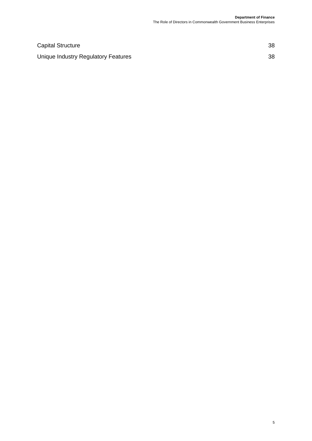| <b>Capital Structure</b>            |  |
|-------------------------------------|--|
| Unique Industry Regulatory Features |  |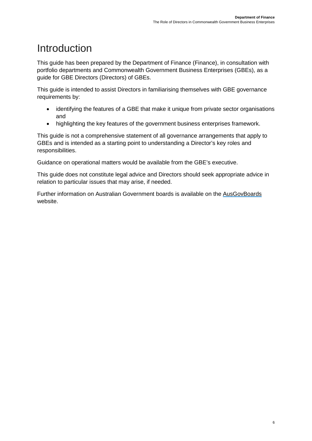# <span id="page-5-0"></span>**Introduction**

This guide has been prepared by the Department of Finance (Finance), in consultation with portfolio departments and Commonwealth Government Business Enterprises (GBEs), as a guide for GBE Directors (Directors) of GBEs.

This guide is intended to assist Directors in familiarising themselves with GBE governance requirements by:

- identifying the features of a GBE that make it unique from private sector organisations and
- highlighting the key features of the government business enterprises framework.

This guide is not a comprehensive statement of all governance arrangements that apply to GBEs and is intended as a starting point to understanding a Director's key roles and responsibilities.

Guidance on operational matters would be available from the GBE's executive.

This guide does not constitute legal advice and Directors should seek appropriate advice in relation to particular issues that may arise, if needed.

Further information on Australian Government boards is available on the [AusGovBoards](http://www.directory.gov.au/) website.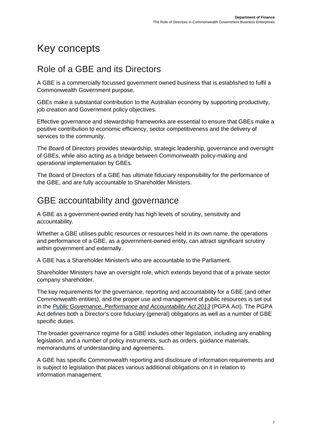# <span id="page-6-0"></span>Key concepts

### <span id="page-6-1"></span>Role of a GBE and its Directors

A GBE is a commercially focussed government owned business that is established to fulfil a Commonwealth Government purpose.

GBEs make a substantial contribution to the Australian economy by supporting productivity, job creation and Government policy objectives.

Effective governance and stewardship frameworks are essential to ensure that GBEs make a positive contribution to economic efficiency, sector competitiveness and the delivery of services to the community.

The Board of Directors provides stewardship, strategic leadership, governance and oversight of GBEs, while also acting as a bridge between Commonwealth policy-making and operational implementation by GBEs.

The Board of Directors of a GBE has ultimate fiduciary responsibility for the performance of the GBE, and are fully accountable to Shareholder Ministers.

## <span id="page-6-2"></span>GBE accountability and governance

A GBE as a government-owned entity has high levels of scrutiny, sensitivity and accountability.

Whether a GBE utilises public resources or resources held in its own name, the operations and performance of a GBE, as a government-owned entity, can attract significant scrutiny within government and externally.

A GBE has a Shareholder Minister/s who are accountable to the Parliament.

Shareholder Ministers have an oversight role, which extends beyond that of a private sector company shareholder.

The key requirements for the governance, reporting and accountability for a GBE (and other Commonwealth entities), and the proper use and management of public resources is set out in the *[Public Governance, Performance and Accountability Act 2013](https://www.legislation.gov.au/Series/C2013A00123)* [\(](https://www.legislation.gov.au/Series/C2013A00123)PGPA Act). The PGPA Act defines both a Director's core fiduciary (general) obligations as well as a number of GBE specific duties.

The broader governance regime for a GBE includes other legislation, including any enabling legislation, and a number of policy instruments, such as orders, guidance materials, memorandums of understanding and agreements.

A GBE has specific Commonwealth reporting and disclosure of information requirements and is subject to legislation that places various additional obligations on it in relation to information management.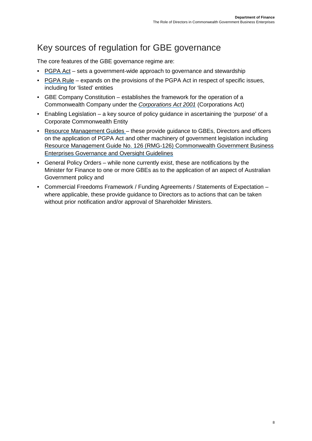## <span id="page-7-0"></span>Key sources of regulation for GBE governance

The core features of the GBE governance regime are:

- [PGPA Act](https://www.legislation.gov.au/Series/C2013A00123) sets a government-wide approach to governance and stewardship
- [PGPA Rule](https://www.legislation.gov.au/Series/F2014L00911) [–](https://www.legislation.gov.au/Series/F2014L00911) expands on the provisions of the PGPA Act in respect of specific issues, including for 'listed' entities
- GBE Company Constitution establishes the framework for the operation of a Commonwealth Company under the *[Corporations Act 2001](https://www.legislation.gov.au/Series/C2004A00818)* (Corporations Act)
- Enabling Legislation a key source of policy guidance in ascertaining the 'purpose' of a Corporate Commonwealth Entity
- [Resource Management Guides](http://www.finance.gov.au/resource-management/governance/gbe/) [–](http://www.finance.gov.au/resource-management/governance/gbe/) these provide guidance to GBEs, Directors and officers on the application of PGPA Act and other machinery of government legislation including [Resource Management Guide No. 126 \(RMG-126\) Commonwealth Government Business](http://www.finance.gov.au/resource-management/governance/gbe/) [Enterprises Governance and Oversight Guidelines](http://www.finance.gov.au/resource-management/governance/gbe/)
- General Policy Orders while none currently exist, these are notifications by the Minister for Finance to one or more GBEs as to the application of an aspect of Australian Government policy and
- Commercial Freedoms Framework / Funding Agreements / Statements of Expectation where applicable, these provide guidance to Directors as to actions that can be taken without prior notification and/or approval of Shareholder Ministers.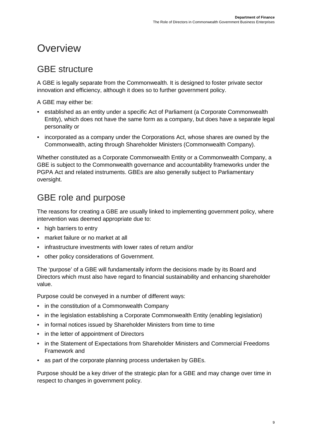# <span id="page-8-0"></span>**Overview**

#### <span id="page-8-1"></span>GBE structure

A GBE is legally separate from the Commonwealth. It is designed to foster private sector innovation and efficiency, although it does so to further government policy.

A GBE may either be:

- established as an entity under a specific Act of Parliament (a Corporate Commonwealth Entity), which does not have the same form as a company, but does have a separate legal personality or
- incorporated as a company under the Corporations Act, whose shares are owned by the Commonwealth, acting through Shareholder Ministers (Commonwealth Company).

Whether constituted as a Corporate Commonwealth Entity or a Commonwealth Company, a GBE is subject to the Commonwealth governance and accountability frameworks under the PGPA Act and related instruments. GBEs are also generally subject to Parliamentary oversight.

### <span id="page-8-2"></span>GBE role and purpose

The reasons for creating a GBE are usually linked to implementing government policy, where intervention was deemed appropriate due to:

- high barriers to entry
- market failure or no market at all
- infrastructure investments with lower rates of return and/or
- other policy considerations of Government.

The 'purpose' of a GBE will fundamentally inform the decisions made by its Board and Directors which must also have regard to financial sustainability and enhancing shareholder value.

Purpose could be conveyed in a number of different ways:

- in the constitution of a Commonwealth Company
- in the legislation establishing a Corporate Commonwealth Entity (enabling legislation)
- in formal notices issued by Shareholder Ministers from time to time
- in the letter of appointment of Directors
- in the Statement of Expectations from Shareholder Ministers and Commercial Freedoms Framework and
- as part of the corporate planning process undertaken by GBEs.

Purpose should be a key driver of the strategic plan for a GBE and may change over time in respect to changes in government policy.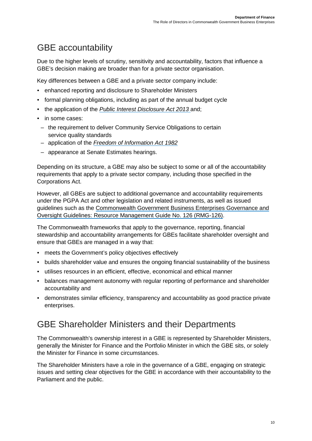# <span id="page-9-0"></span>GBE accountability

Due to the higher levels of scrutiny, sensitivity and accountability, factors that influence a GBE's decision making are broader than for a private sector organisation.

Key differences between a GBE and a private sector company include:

- enhanced reporting and disclosure to Shareholder Ministers
- formal planning obligations, including as part of the annual budget cycle
- the application of the *[Public Interest Disclosure Act 2013](https://www.legislation.gov.au/Series/C2013A00133)* and[;](https://www.legislation.gov.au/Series/C2013A00133)
- in some cases:
	- the requirement to deliver Community Service Obligations to certain service quality standards
	- application of the *[Freedom of Information Act 1982](https://www.legislation.gov.au/Series/C2004A02562)*
	- appearance at Senate Estimates hearings.

Depending on its structure, a GBE may also be subject to some or all of the accountability requirements that apply to a private sector company, including those specified in the Corporations Act.

However, all GBEs are subject to additional governance and accountability requirements under the PGPA Act and other legislation and related instruments, as well as issued guidelines such as the [Commonwealth Government Business Enterprises Governance and](http://www.finance.gov.au/resource-management/governance/gbe/) [Oversight Guidelines:](http://www.finance.gov.au/resource-management/governance/gbe/) [Resource Management Guide No. 126 \(RMG-126\).](http://www.finance.gov.au/resource-management/governance/gbe/) 

The Commonwealth frameworks that apply to the governance, reporting, financial stewardship and accountability arrangements for GBEs facilitate shareholder oversight and ensure that GBEs are managed in a way that:

- meets the Government's policy objectives effectively
- builds shareholder value and ensures the ongoing financial sustainability of the business
- utilises resources in an efficient, effective, economical and ethical manner
- balances management autonomy with regular reporting of performance and shareholder accountability and
- demonstrates similar efficiency, transparency and accountability as good practice private enterprises.

#### <span id="page-9-1"></span>GBE Shareholder Ministers and their Departments

The Commonwealth's ownership interest in a GBE is represented by Shareholder Ministers, generally the Minister for Finance and the Portfolio Minister in which the GBE sits, or solely the Minister for Finance in some circumstances.

The Shareholder Ministers have a role in the governance of a GBE, engaging on strategic issues and setting clear objectives for the GBE in accordance with their accountability to the Parliament and the public.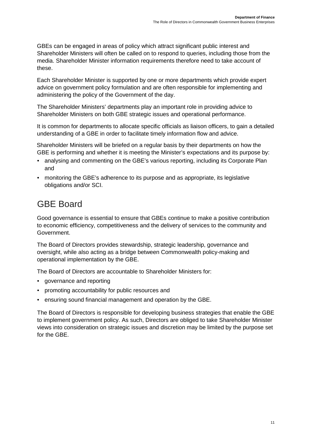GBEs can be engaged in areas of policy which attract significant public interest and Shareholder Ministers will often be called on to respond to queries, including those from the media. Shareholder Minister information requirements therefore need to take account of these.

Each Shareholder Minister is supported by one or more departments which provide expert advice on government policy formulation and are often responsible for implementing and administering the policy of the Government of the day.

The Shareholder Ministers' departments play an important role in providing advice to Shareholder Ministers on both GBE strategic issues and operational performance.

It is common for departments to allocate specific officials as liaison officers, to gain a detailed understanding of a GBE in order to facilitate timely information flow and advice.

Shareholder Ministers will be briefed on a regular basis by their departments on how the GBE is performing and whether it is meeting the Minister's expectations and its purpose by:

- analysing and commenting on the GBE's various reporting, including its Corporate Plan and
- monitoring the GBE's adherence to its purpose and as appropriate, its legislative obligations and/or SCI.

## <span id="page-10-0"></span>GBE Board

Good governance is essential to ensure that GBEs continue to make a positive contribution to economic efficiency, competitiveness and the delivery of services to the community and Government.

The Board of Directors provides stewardship, strategic leadership, governance and oversight, while also acting as a bridge between Commonwealth policy-making and operational implementation by the GBE.

The Board of Directors are accountable to Shareholder Ministers for:

- governance and reporting
- promoting accountability for public resources and
- ensuring sound financial management and operation by the GBE.

The Board of Directors is responsible for developing business strategies that enable the GBE to implement government policy. As such, Directors are obliged to take Shareholder Minister views into consideration on strategic issues and discretion may be limited by the purpose set for the GBE.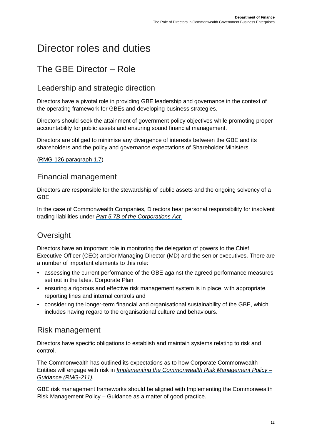# <span id="page-11-0"></span>Director roles and duties

### <span id="page-11-1"></span>The GBE Director – Role

#### <span id="page-11-2"></span>Leadership and strategic direction

Directors have a pivotal role in providing GBE leadership and governance in the context of the operating framework for GBEs and developing business strategies.

Directors should seek the attainment of government policy objectives while promoting proper accountability for public assets and ensuring sound financial management.

Directors are obliged to minimise any divergence of interests between the GBE and its shareholders and the policy and governance expectations of Shareholder Ministers.

<span id="page-11-3"></span>[\(RMG-126 paragraph 1.7\)](http://www.finance.gov.au/resource-management/governance/gbe/)

#### Financial management

Directors are responsible for the stewardship of public assets and the ongoing solvency of a GBE.

In the case of Commonwealth Companies, Directors bear personal responsibility for insolvent trading liabilities under *[Part 5.7B of the Corporations Act.](https://www.legislation.gov.au/Details/C2018C00131)*

#### <span id="page-11-4"></span>Oversight

Directors have an important role in monitoring the delegation of powers to the Chief Executive Officer (CEO) and/or Managing Director (MD) and the senior executives. There are a number of important elements to this role:

- assessing the current performance of the GBE against the agreed performance measures set out in the latest Corporate Plan
- ensuring a rigorous and effective risk management system is in place, with appropriate reporting lines and internal controls and
- considering the longer-term financial and organisational sustainability of the GBE, which includes having regard to the organisational culture and behaviours.

#### <span id="page-11-5"></span>Risk management

Directors have specific obligations to establish and maintain systems relating to risk and control.

The Commonwealth has outlined its expectations as to how Corporate Commonwealth Entities will engage with risk in *[Implementing the Commonwealth Risk Management Policy –](https://www.finance.gov.au/comcover/risk-management/the-commonwealth-risk-management-policy/)  [Guidance \(RMG-211\)](https://www.finance.gov.au/comcover/risk-management/the-commonwealth-risk-management-policy/)[.](http://www.finance.gov.au/comcover/risk-management/the-commonwealth-risk-management-policy/)*

GBE risk management frameworks should be aligned with Implementing the Commonwealth Risk Management Policy – Guidance as a matter of good practice.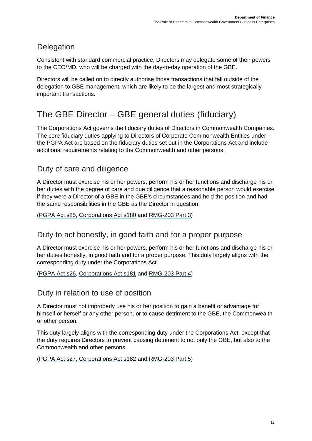#### <span id="page-12-0"></span>**Delegation**

Consistent with standard commercial practice, Directors may delegate some of their powers to the CEO/MD, who will be charged with the day-to-day operation of the GBE.

Directors will be called on to directly authorise those transactions that fall outside of the delegation to GBE management, which are likely to be the largest and most strategically important transactions.

## <span id="page-12-1"></span>The GBE Director – GBE general duties (fiduciary)

The Corporations Act governs the fiduciary duties of Directors in Commonwealth Companies. The core fiduciary duties applying to Directors of Corporate Commonwealth Entities under the PGPA Act are based on the fiduciary duties set out in the Corporations Act and include additional requirements relating to the Commonwealth and other persons.

#### <span id="page-12-2"></span>Duty of care and diligence

A Director must exercise his or her powers, perform his or her functions and discharge his or her duties with the degree of care and due diligence that a reasonable person would exercise if they were a Director of a GBE in the GBE's circumstances and held the position and had the same responsibilities in the GBE as the Director in question.

[\(PGPA Act s25,](https://www.legislation.gov.au/Series/C2013A00123) [Corporations Act s180](https://www.legislation.gov.au/Series/C2004A00818) and [RMG-203 Part 3\)](http://www.finance.gov.au/resource-management/accountability/officials/) 

#### <span id="page-12-3"></span>Duty to act honestly, in good faith and for a proper purpose

A Director must exercise his or her powers, perform his or her functions and discharge his or her duties honestly, in good faith and for a proper purpose. This duty largely aligns with the corresponding duty under the Corporations Act.

[\(PGPA Act s26,](https://www.legislation.gov.au/Series/C2013A00123) [Corporations Act s181](https://www.legislation.gov.au/Series/C2004A00818) and [RMG-203 Part 4\)](http://www.finance.gov.au/resource-management/accountability/officials/) 

<span id="page-12-4"></span>Duty in relation to use of position

A Director must not improperly use his or her position to gain a benefit or advantage for himself or herself or any other person, or to cause detriment to the GBE, the Commonwealth or other person.

This duty largely aligns with the corresponding duty under the Corporations Act, except that the duty requires Directors to prevent causing detriment to not only the GBE, but also to the Commonwealth and other persons.

[\(PGPA Act s27,](https://www.legislation.gov.au/Series/C2013A00123) [Corporations Act s182](https://www.legislation.gov.au/Series/C2004A00818) and [RMG-203 Part 5\)](http://www.finance.gov.au/resource-management/accountability/officials/)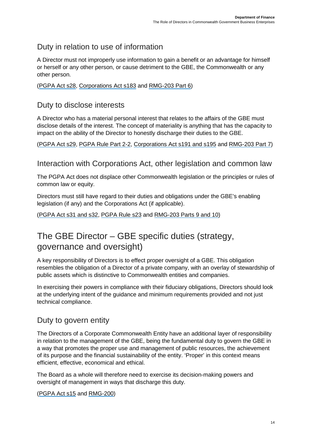#### <span id="page-13-0"></span>Duty in relation to use of information

A Director must not improperly use information to gain a benefit or an advantage for himself or herself or any other person, or cause detriment to the GBE, the Commonwealth or any other person.

#### [\(PGPA Act s28,](https://www.legislation.gov.au/Series/C2013A00123) [Corporations Act s183](https://www.legislation.gov.au/Series/C2004A00818) and [RMG-203 Part 6\)](http://www.finance.gov.au/resource-management/accountability/officials/)

#### <span id="page-13-1"></span>Duty to disclose interests

A Director who has a material personal interest that relates to the affairs of the GBE must disclose details of the interest. The concept of materiality is anything that has the capacity to impact on the ability of the Director to honestly discharge their duties to the GBE.

[\(PGPA Act s29,](https://www.legislation.gov.au/Series/C2013A00123) [PGPA Rule Part 2-2,](https://www.legislation.gov.au/Series/F2014L00911) [Corporations Act s191 and s195](https://www.legislation.gov.au/Series/C2004A00818) and [RMG-203 Part 7\)](http://www.finance.gov.au/resource-management/accountability/officials/) 

#### <span id="page-13-2"></span>Interaction with Corporations Act, other legislation and common law

The PGPA Act does not displace other Commonwealth legislation or the principles or rules of common law or equity.

Directors must still have regard to their duties and obligations under the GBE's enabling legislation (if any) and the Corporations Act (if applicable).

[\(PGPA Act s31 and s32,](https://www.legislation.gov.au/Series/C2013A00123) [PGPA Rule s23](https://www.legislation.gov.au/Series/F2014L00911) an[d](http://www.finance.gov.au/resource-management/accountability/officials/) [RMG-203 Parts 9 and 10\)](http://www.finance.gov.au/resource-management/accountability/officials/) 

### <span id="page-13-3"></span>The GBE Director – GBE specific duties (strategy, governance and oversight)

A key responsibility of Directors is to effect proper oversight of a GBE. This obligation resembles the obligation of a Director of a private company, with an overlay of stewardship of public assets which is distinctive to Commonwealth entities and companies.

In exercising their powers in compliance with their fiduciary obligations, Directors should look at the underlying intent of the guidance and minimum requirements provided and not just technical compliance.

#### <span id="page-13-4"></span>Duty to govern entity

The Directors of a Corporate Commonwealth Entity have an additional layer of responsibility in relation to the management of the GBE, being the fundamental duty to govern the GBE in a way that promotes the proper use and management of public resources, the achievement of its purpose and the financial sustainability of the entity. 'Proper' in this context means efficient, effective, economical and ethical.

The Board as a whole will therefore need to exercise its decision-making powers and oversight of management in ways that discharge this duty.

#### [\(PGPA Act s15](https://www.legislation.gov.au/Series/C2013A00123) and [RMG-2](http://www.finance.gov.au/resource-management/accountability/accountable-authorities/)0[0\)](http://www.finance.gov.au/resource-management/accountability/accountable-authorities/)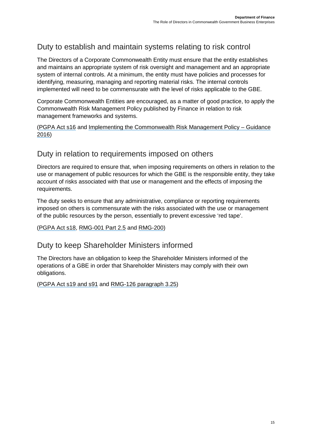#### <span id="page-14-0"></span>Duty to establish and maintain systems relating to risk control

The Directors of a Corporate Commonwealth Entity must ensure that the entity establishes and maintains an appropriate system of risk oversight and management and an appropriate system of internal controls. At a minimum, the entity must have policies and processes for identifying, measuring, managing and reporting material risks. The internal controls implemented will need to be commensurate with the level of risks applicable to the GBE.

Corporate Commonwealth Entities are encouraged, as a matter of good practice, to apply the Commonwealth Risk Management Policy published by Finance in relation to risk management frameworks and systems.

[\(PGPA Act s16](https://www.legislation.gov.au/Series/C2013A00123) and [Implementing](http://www.finance.gov.au/comcover/risk-management/the-commonwealth-risk-management-policy/) the Commonwealth Risk Management Policy – Guidance 201[6\)](http://www.finance.gov.au/comcover/risk-management/the-commonwealth-risk-management-policy/) 

#### <span id="page-14-1"></span>Duty in relation to requirements imposed on others

Directors are required to ensure that, when imposing requirements on others in relation to the use or management of public resources for which the GBE is the responsible entity, they take account of risks associated with that use or management and the effects of imposing the requirements.

The duty seeks to ensure that any administrative, compliance or reporting requirements imposed on others is commensurate with the risks associated with the use or management of the public resources by the person, essentially to prevent excessive 'red tape'.

#### <span id="page-14-2"></span>[\(P](https://www.legislation.gov.au/Series/C2013A00123)GPA [Act s18,](https://www.legislation.gov.au/Series/C2013A00123) [RMG-001 Part 2.5](http://www.finance.gov.au/resource-management/introduction/companion/) and [RMG-200\)](https://www.finance.gov.au/resource-management/accountability/accountable-authorities/)

#### Duty to keep Shareholder Ministers informed

The Directors have an obligation to keep the Shareholder Ministers informed of the operations of a GBE in order that Shareholder Ministers may comply with their own obligations.

[\(PGPA Act s19 and s91](https://www.legislation.gov.au/Series/C2013A00123) [a](https://www.legislation.gov.au/Series/C2013A00123)nd [RMG-126 paragraph](https://www.finance.gov.au/resource-management/governance/gbe/) 3.2[5\)](https://www.finance.gov.au/resource-management/governance/gbe/)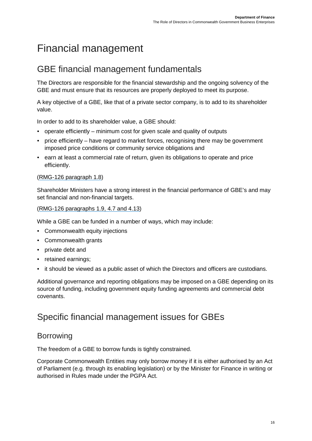# <span id="page-15-0"></span>Financial management

### <span id="page-15-1"></span>GBE financial management fundamentals

The Directors are responsible for the financial stewardship and the ongoing solvency of the GBE and must ensure that its resources are properly deployed to meet its purpose.

A key objective of a GBE, like that of a private sector company, is to add to its shareholder value.

In order to add to its shareholder value, a GBE should:

- operate efficiently minimum cost for given scale and quality of outputs
- price efficiently have regard to market forces, recognising there may be government imposed price conditions or community service obligations and
- earn at least a commercial rate of return, given its obligations to operate and price efficiently.

#### [\(RMG-126 paragraph 1.8\)](http://www.finance.gov.au/resource-management/governance/gbe/)

Shareholder Ministers have a strong interest in the financial performance of GBE's and may set financial and non-financial targets.

#### [\(RMG-126 paragraphs 1.9, 4.7 and 4.13\)](http://www.finance.gov.au/resource-management/governance/gbe/)

While a GBE can be funded in a number of ways, which may include:

- Commonwealth equity injections
- Commonwealth grants
- private debt and
- retained earnings;
- it should be viewed as a public asset of which the Directors and officers are custodians.

Additional governance and reporting obligations may be imposed on a GBE depending on its source of funding, including government equity funding agreements and commercial debt covenants.

#### <span id="page-15-2"></span>Specific financial management issues for GBEs

#### <span id="page-15-3"></span>Borrowing

The freedom of a GBE to borrow funds is tightly constrained.

Corporate Commonwealth Entities may only borrow money if it is either authorised by an Act of Parliament (e.g. through its enabling legislation) or by the Minister for Finance in writing or authorised in Rules made under the PGPA Act.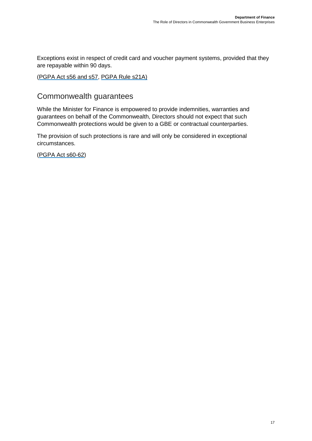Exceptions exist in respect of credit card and voucher payment systems, provided that they are repayable within 90 days.

[\(PGPA Act s56 and s57,](https://www.legislation.gov.au/Series/C2013A00123) [PGPA Rule s21A\)](https://www.legislation.gov.au/Series/F2014L00911) 

#### <span id="page-16-0"></span>Commonwealth guarantees

While the Minister for Finance is empowered to provide indemnities, warranties and guarantees on behalf of the Commonwealth, Directors should not expect that such Commonwealth protections would be given to a GBE or contractual counterparties.

The provision of such protections is rare and will only be considered in exceptional circumstances.

[\(PGPA Act s60-62\)](https://www.legislation.gov.au/Series/C2013A00123)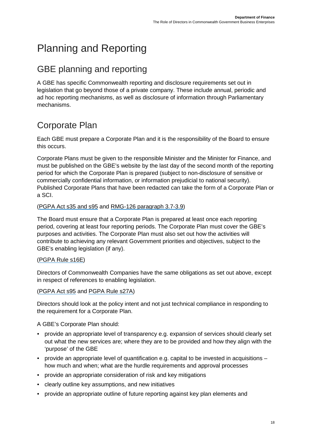# <span id="page-17-0"></span>Planning and Reporting

### <span id="page-17-1"></span>GBE planning and reporting

A GBE has specific Commonwealth reporting and disclosure requirements set out in legislation that go beyond those of a private company. These include annual, periodic and ad hoc reporting mechanisms, as well as disclosure of information through Parliamentary mechanisms.

## <span id="page-17-2"></span>Corporate Plan

Each GBE must prepare a Corporate Plan and it is the responsibility of the Board to ensure this occurs.

Corporate Plans must be given to the responsible Minister and the Minister for Finance, and must be published on the GBE's website by the last day of the second month of the reporting period for which the Corporate Plan is prepared (subject to non-disclosure of sensitive or commercially confidential information, or information prejudicial to national security). Published Corporate Plans that have been redacted can take the form of a Corporate Plan or a SCI.

#### [\(PGPA Act s35 and s95](https://www.legislation.gov.au/Series/C2013A00123) [a](https://www.legislation.gov.au/Series/C2013A00123)nd [RMG-126 paragraph 3.7-3.9\)](http://www.finance.gov.au/resource-management/governance/gbe/)

The Board must ensure that a Corporate Plan is prepared at least once each reporting period, covering at least four reporting periods. The Corporate Plan must cover the GBE's purposes and activities. The Corporate Plan must also set out how the activities will contribute to achieving any relevant Government priorities and objectives, subject to the GBE's enabling legislation (if any).

#### [\(PGPA Rule s16E\)](https://www.legislation.gov.au/Series/F2014L00911)

Directors of Commonwealth Companies have the same obligations as set out above, except in respect of references to enabling legislation.

#### [\(PGPA Act s95](https://www.legislation.gov.au/Series/C2013A00123) and [PGPA Rule s27A\)](https://www.legislation.gov.au/Series/F2014L00911)

Directors should look at the policy intent and not just technical compliance in responding to the requirement for a Corporate Plan.

A GBE's Corporate Plan should:

- provide an appropriate level of transparency e.g. expansion of services should clearly set out what the new services are; where they are to be provided and how they align with the 'purpose' of the GBE
- provide an appropriate level of quantification e.g. capital to be invested in acquisitions how much and when; what are the hurdle requirements and approval processes
- provide an appropriate consideration of risk and key mitigations
- clearly outline key assumptions, and new initiatives
- provide an appropriate outline of future reporting against key plan elements and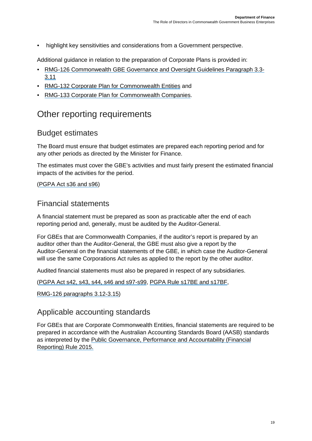• highlight key sensitivities and considerations from a Government perspective.

Additional guidance in relation to the preparation of Corporate Plans is provided in:

- [RMG-126 Commonwealth GBE Governance and Oversight Guidelines](http://www.finance.gov.au/resource-management/governance/gbe/) Paragraph 3.3- 3.1[1](http://www.finance.gov.au/resource-management/governance/gbe/)
- [RMG-132 Corporate Plan for Commonwealth Entities](http://www.finance.gov.au/resource-management/performance/) [a](http://www.finance.gov.au/resource-management/performance/)nd
- [RMG-133 Corporate Plan for Commonwealth Companies.](http://www.finance.gov.au/resource-management/performance/)

#### <span id="page-18-0"></span>Other reporting requirements

#### <span id="page-18-1"></span>Budget estimates

The Board must ensure that budget estimates are prepared each reporting period and for any other periods as directed by the Minister for Finance.

The estimates must cover the GBE's activities and must fairly present the estimated financial impacts of the activities for the period.

[\(PGPA Act s36 and s96\)](https://www.legislation.gov.au/Series/C2013A00123) 

#### <span id="page-18-2"></span>Financial statements

A financial statement must be prepared as soon as practicable after the end of each reporting period and, generally, must be audited by the Auditor-General.

For GBEs that are Commonwealth Companies, if the auditor's report is prepared by an auditor other than the Auditor-General, the GBE must also give a report by the Auditor-General on the financial statements of the GBE, in which case the Auditor-General will use the same Corporations Act rules as applied to the report by the other auditor.

Audited financial statements must also be prepared in respect of any subsidiaries.

[\(PGPA Act s42, s43, s44, s46 a](https://www.legislation.gov.au/Series/C2013A00123)nd [s97-s99,](https://www.legislation.gov.au/Series/C2013A00123) [PGPA Rule s17BE and s17BF,](https://www.legislation.gov.au/Series/F2014L00911) 

[RMG-126 paragraphs 3.12-3.15\)](http://www.finance.gov.au/resource-management/governance/gbe/) 

#### <span id="page-18-3"></span>Applicable accounting standards

For GBEs that are Corporate Commonwealth Entities, financial statements are required to be prepared in accordance with the Australian Accounting Standards Board (AASB) standards as interpreted by the [Public Governance, Performance and Accountability \(Financial](https://www.legislation.gov.au/Details/F2018C00194)  [Reporting\) Rule 2015.](https://www.legislation.gov.au/Details/F2018C00194)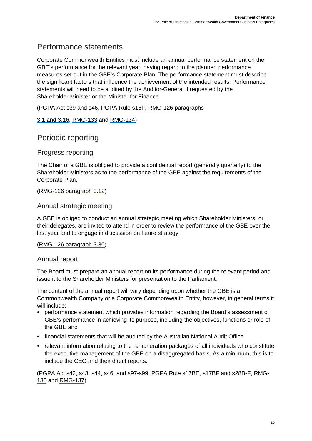#### <span id="page-19-0"></span>Performance statements

Corporate Commonwealth Entities must include an annual performance statement on the GBE's performance for the relevant year, having regard to the planned performance measures set out in the GBE's Corporate Plan. The performance statement must describe the significant factors that influence the achievement of the intended results. Performance statements will need to be audited by the Auditor-General if requested by the Shareholder Minister or the Minister for Finance.

[\(PGPA Act s39](https://www.legislation.gov.au/Series/C2013A00123) [and](https://www.legislation.gov.au/Series/C2013A00123) [s46,](https://www.legislation.gov.au/Series/C2013A00123) [PGPA Rule s16F,](https://www.legislation.gov.au/Series/F2014L00911) [RMG-126 paragraphs](http://www.finance.gov.au/resource-management/governance/gbe/)

#### [3.1 and 3.16,](http://www.finance.gov.au/resource-management/governance/gbe/) [RMG-133](http://www.finance.gov.au/resource-management/performance/) and [RMG-134\)](http://www.finance.gov.au/resource-management/performance/)

#### <span id="page-19-1"></span>Periodic reporting

Progress reporting

The Chair of a GBE is obliged to provide a confidential report (generally quarterly) to the Shareholder Ministers as to the performance of the GBE against the requirements of the Corporate Plan.

#### [\(RMG-126 paragraph](http://www.finance.gov.au/resource-management/governance/gbe/) 3.1[2\)](http://www.finance.gov.au/resource-management/governance/gbe/)

#### Annual strategic meeting

A GBE is obliged to conduct an annual strategic meeting which Shareholder Ministers, or their delegates, are invited to attend in order to review the performance of the GBE over the last year and to engage in discussion on future strategy.

#### [\(RMG-126 paragraph 3.30\)](http://www.finance.gov.au/resource-management/governance/gbe/)

#### Annual report

The Board must prepare an annual report on its performance during the relevant period and issue it to the Shareholder Ministers for presentation to the Parliament.

The content of the annual report will vary depending upon whether the GBE is a Commonwealth Company or a Corporate Commonwealth Entity, however, in general terms it will include:

- performance statement which provides information regarding the Board's assessment of GBE's performance in achieving its purpose, including the objectives, functions or role of the GBE and
- financial statements that will be audited by the Australian National Audit Office.
- relevant information relating to the remuneration packages of all individuals who constitute the executive management of the GBE on a disaggregated basis. As a minimum, this is to include the CEO and their direct reports.

[\(P](https://www.legislation.gov.au/Series/C2013A00123)GPA Act [s42, s43, s44, s46, and s97-s99,](https://www.legislation.gov.au/Series/C2013A00123) [PGPA Rule s17BE, s17BF](https://www.legislation.gov.au/Series/F2014L00911) [and](https://www.legislation.gov.au/Series/F2014L00911) [s28B-F,](https://www.legislation.gov.au/Series/F2014L00911) [RMG](http://www.finance.gov.au/resource-management/introduction/companion/)[-](http://www.finance.gov.au/resource-management/performance/)[136](http://www.finance.gov.au/resource-management/performance/) [a](http://www.finance.gov.au/resource-management/performance/)nd [RMG-137\)](http://www.finance.gov.au/resource-management/performance/)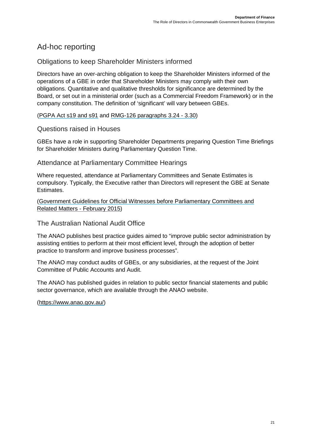#### <span id="page-20-0"></span>Ad-hoc reporting

#### Obligations to keep Shareholder Ministers informed

Directors have an over-arching obligation to keep the Shareholder Ministers informed of the operations of a GBE in order that Shareholder Ministers may comply with their own obligations. Quantitative and qualitative thresholds for significance are determined by the Board, or set out in a ministerial order (such as a Commercial Freedom Framework) or in the company constitution. The definition of 'significant' will vary between GBEs.

[\(PGPA Act s19](https://www.legislation.gov.au/Series/C2013A00123) [and](https://www.legislation.gov.au/Series/C2013A00123) [s91](https://www.legislation.gov.au/Series/C2013A00123) and [RMG-126 paragraphs 3.24 - 3.30\)](http://www.finance.gov.au/resource-management/governance/gbe/)

Questions raised in Houses

GBEs have a role in supporting Shareholder Departments preparing Question Time Briefings for Shareholder Ministers during Parliamentary Question Time.

#### Attendance at Parliamentary Committee Hearings

Where requested, attendance at Parliamentary Committees and Senate Estimates is compulsory. Typically, the Executive rather than Directors will represent the GBE at Senate Estimates.

[\(Government Guidelines for Official Witnesses before Parliamentary Committees and](https://www.dpmc.gov.au/resource-centre/government/government-guidelines-official-witnesses-parliamentary-committees-and-related-matters-february-2015) [Related Matters - February 2015\)](https://www.dpmc.gov.au/resource-centre/government/government-guidelines-official-witnesses-parliamentary-committees-and-related-matters-february-2015) 

The Australian National Audit Office

The ANAO publishes best practice guides aimed to "improve public sector administration by assisting entities to perform at their most efficient level, through the adoption of better practice to transform and improve business processes".

The ANAO may conduct audits of GBEs, or any subsidiaries, at the request of the Joint Committee of Public Accounts and Audit.

The ANAO has published guides in relation to public sector financial statements and public sector governance, which are available through the ANAO website.

[\(https://www.anao.gov.au/\)](https://www.anao.gov.au/)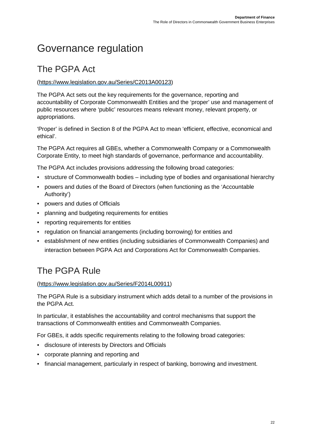# <span id="page-21-0"></span>Governance regulation

## <span id="page-21-1"></span>The PGPA Act

#### [\(https://www.legislation.gov.au/Series/C2013A00123\)](https://www.legislation.gov.au/Series/C2013A00123)

The PGPA Act sets out the key requirements for the governance, reporting and accountability of Corporate Commonwealth Entities and the 'proper' use and management of public resources where 'public' resources means relevant money, relevant property, or appropriations.

'Proper' is defined in Section 8 of the PGPA Act to mean 'efficient, effective, economical and ethical'.

The PGPA Act requires all GBEs, whether a Commonwealth Company or a Commonwealth Corporate Entity, to meet high standards of governance, performance and accountability.

The PGPA Act includes provisions addressing the following broad categories:

- structure of Commonwealth bodies including type of bodies and organisational hierarchy
- powers and duties of the Board of Directors (when functioning as the 'Accountable Authority')
- powers and duties of Officials
- planning and budgeting requirements for entities
- reporting requirements for entities
- regulation on financial arrangements (including borrowing) for entities and
- establishment of new entities (including subsidiaries of Commonwealth Companies) and interaction between PGPA Act and Corporations Act for Commonwealth Companies.

## <span id="page-21-2"></span>The PGPA Rule

[\(https://www.legislation.gov.au/Series/F2014L00911\)](https://www.legislation.gov.au/Series/F2014L00911) 

The PGPA Rule is a subsidiary instrument which adds detail to a number of the provisions in the PGPA Act.

In particular, it establishes the accountability and control mechanisms that support the transactions of Commonwealth entities and Commonwealth Companies.

For GBEs, it adds specific requirements relating to the following broad categories:

- disclosure of interests by Directors and Officials
- corporate planning and reporting and
- financial management, particularly in respect of banking, borrowing and investment.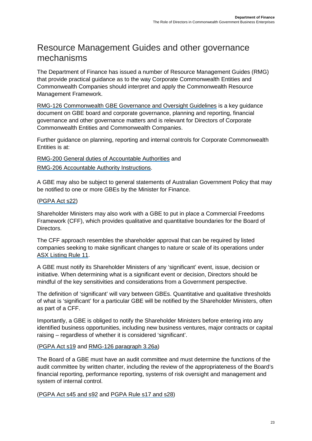### <span id="page-22-0"></span>Resource Management Guides and other governance mechanisms

The Department of Finance has issued a number of Resource Management Guides (RMG) that provide practical guidance as to the way Corporate Commonwealth Entities and Commonwealth Companies should interpret and apply the Commonwealth Resource Management Framework.

[RMG-126 Commonwealth](http://www.finance.gov.au/resource-management/governance/gbe/) [GBE Governance and Oversight Guidelines](http://www.finance.gov.au/resource-management/governance/gbe/) is a key guidance document on GBE board and corporate governance, planning and reporting, financial governance and other governance matters and is relevant for Directors of Corporate Commonwealth Entities and Commonwealth Companies.

Further guidance on planning, reporting and internal controls for Corporate Commonwealth Entities is at:

[RMG-200 General duties of Accountable Authorities](http://www.finance.gov.au/resource-management/accountability/accountable-authorities/) [a](http://www.finance.gov.au/resource-management/accountability/accountable-authorities/)nd [RMG-2](http://www.finance.gov.au/resource-management/accountability/accountable-authority-instructions/)06 [Accountable Authority Instructions.](http://www.finance.gov.au/resource-management/accountability/accountable-authority-instructions/) 

A GBE may also be subject to general statements of Australian Government Policy that may be notified to one or more GBEs by the Minister for Finance.

#### [\(PGPA Act s22\)](https://www.legislation.gov.au/Series/C2013A00123)

Shareholder Ministers may also work with a GBE to put in place a Commercial Freedoms Framework (CFF), which provides qualitative and quantitative boundaries for the Board of Directors.

The CFF approach resembles the shareholder approval that can be required by listed companies seeking to make significant changes to nature or scale of its operations under [ASX Listing Rule 11.](http://www.asx.com.au/regulation/rules/asx-listing-rules.htm) 

A GBE must notify its Shareholder Ministers of any 'significant' event, issue, decision or initiative. When determining what is a significant event or decision, Directors should be mindful of the key sensitivities and considerations from a Government perspective.

The definition of 'significant' will vary between GBEs. Quantitative and qualitative thresholds of what is 'significant' for a particular GBE will be notified by the Shareholder Ministers, often as part of a CFF.

Importantly, a GBE is obliged to notify the Shareholder Ministers before entering into any identified business opportunities, including new business ventures, major contracts or capital raising – regardless of whether it is considered 'significant'.

#### [\(PGPA Act](https://www.legislation.gov.au/Series/C2013A00123) [s19](https://www.legislation.gov.au/Series/C2013A00123) and [RMG-126 paragraph 3.26a\)](http://www.finance.gov.au/resource-management/governance/gbe/)

The Board of a GBE must have an audit committee and must determine the functions of the audit committee by written charter, including the review of the appropriateness of the Board's financial reporting, performance reporting, systems of risk oversight and management and system of internal control.

[\(PGPA Act s45 and s92](https://www.legislation.gov.au/Series/C2013A00123) [a](https://www.legislation.gov.au/Series/C2013A00123)nd [PGPA Rule s17 and s28\)](https://www.legislation.gov.au/Series/F2014L00911)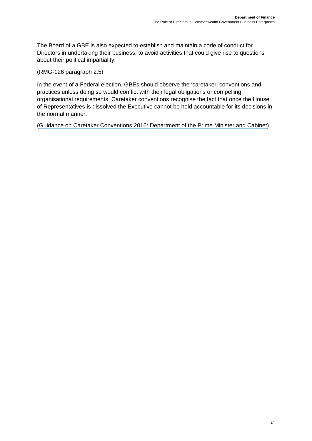The Board of a GBE is also expected to establish and maintain a code of conduct for Directors in undertaking their business, to avoid activities that could give rise to questions about their political impartiality.

[\(RMG-126 paragraph 2.5\)](http://www.finance.gov.au/resource-management/governance/gbe/)

In the event of a Federal election, GBEs should observe the 'caretaker' conventions and practices unless doing so would conflict with their legal obligations or compelling organisational requirements. Caretaker conventions recognise the fact that once the House of Representatives is dissolved the Executive cannot be held accountable for its decisions in the normal manner.

[\(Guidance on Caretaker Conventions 2016: Department of the Prime Minister and Cabinet\)](https://www.dpmc.gov.au/resource-centre/government/guidance-caretaker-conventions)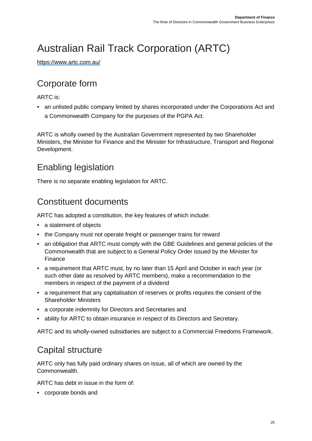# <span id="page-24-0"></span>Australian Rail Track Corporation (ARTC)

<https://www.artc.com.au/>

#### <span id="page-24-1"></span>Corporate form

#### ARTC is:

• an unlisted public company limited by shares incorporated under the Corporations Act and a Commonwealth Company for the purposes of the PGPA Act.

ARTC is wholly owned by the Australian Government represented by two Shareholder Ministers, the Minister for Finance and the Minister for Infrastructure, Transport and Regional Development.

### <span id="page-24-2"></span>Enabling legislation

There is no separate enabling legislation for ARTC.

#### <span id="page-24-3"></span>Constituent documents

ARTC has adopted a constitution, the key features of which include:

- a statement of objects
- the Company must not operate freight or passenger trains for reward
- an obligation that ARTC must comply with the GBE Guidelines and general policies of the Commonwealth that are subject to a General Policy Order issued by the Minister for Finance
- a requirement that ARTC must, by no later than 15 April and October in each year (or such other date as resolved by ARTC members), make a recommendation to the members in respect of the payment of a dividend
- a requirement that any capitalisation of reserves or profits requires the consent of the Shareholder Ministers
- a corporate indemnity for Directors and Secretaries and
- ability for ARTC to obtain insurance in respect of its Directors and Secretary.

<span id="page-24-4"></span>ARTC and its wholly-owned subsidiaries are subject to a Commercial Freedoms Framework.

#### Capital structure

ARTC only has fully paid ordinary shares on issue, all of which are owned by the Commonwealth.

ARTC has debt in issue in the form of:

• corporate bonds and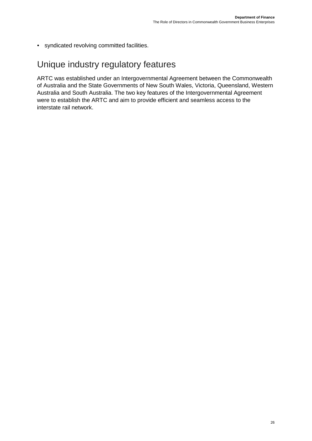• syndicated revolving committed facilities.

#### <span id="page-25-0"></span>Unique industry regulatory features

ARTC was established under an Intergovernmental Agreement between the Commonwealth of Australia and the State Governments of New South Wales, Victoria, Queensland, Western Australia and South Australia. The two key features of the Intergovernmental Agreement were to establish the ARTC and aim to provide efficient and seamless access to the interstate rail network.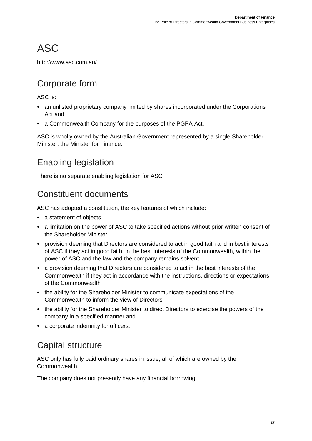# <span id="page-26-0"></span>ASC

<http://www.asc.com.au/>

### <span id="page-26-1"></span>Corporate form

ASC is:

- an unlisted proprietary company limited by shares incorporated under the Corporations Act and
- a Commonwealth Company for the purposes of the PGPA Act.

ASC is wholly owned by the Australian Government represented by a single Shareholder Minister, the Minister for Finance.

## <span id="page-26-2"></span>Enabling legislation

<span id="page-26-3"></span>There is no separate enabling legislation for ASC.

#### Constituent documents

ASC has adopted a constitution, the key features of which include:

- a statement of objects
- a limitation on the power of ASC to take specified actions without prior written consent of the Shareholder Minister
- provision deeming that Directors are considered to act in good faith and in best interests of ASC if they act in good faith, in the best interests of the Commonwealth, within the power of ASC and the law and the company remains solvent
- a provision deeming that Directors are considered to act in the best interests of the Commonwealth if they act in accordance with the instructions, directions or expectations of the Commonwealth
- the ability for the Shareholder Minister to communicate expectations of the Commonwealth to inform the view of Directors
- the ability for the Shareholder Minister to direct Directors to exercise the powers of the company in a specified manner and
- a corporate indemnity for officers.

### <span id="page-26-4"></span>Capital structure

ASC only has fully paid ordinary shares in issue, all of which are owned by the Commonwealth.

The company does not presently have any financial borrowing.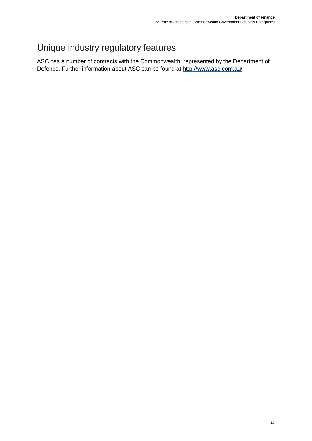# <span id="page-27-0"></span>Unique industry regulatory features

ASC has a number of contracts with the Commonwealth, represented by the Department of Defence. Further information about ASC can be found at [http://www.asc.com.au/.](http://www.asc.com.au/)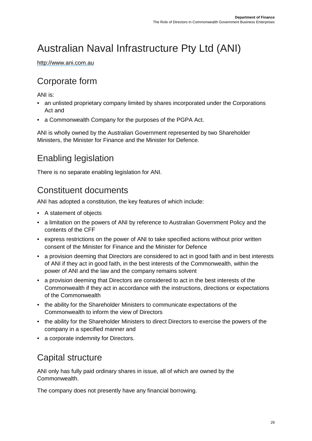# <span id="page-28-0"></span>Australian Naval Infrastructure Pty Ltd (ANI)

<span id="page-28-1"></span>[http://www.ani.com.au](http://www.ani.com.au/)

### Corporate form

ANI is:

- an unlisted proprietary company limited by shares incorporated under the Corporations Act and
- a Commonwealth Company for the purposes of the PGPA Act.

ANI is wholly owned by the Australian Government represented by two Shareholder Ministers, the Minister for Finance and the Minister for Defence.

## <span id="page-28-2"></span>Enabling legislation

<span id="page-28-3"></span>There is no separate enabling legislation for ANI.

#### Constituent documents

ANI has adopted a constitution, the key features of which include:

- A statement of objects
- a limitation on the powers of ANI by reference to Australian Government Policy and the contents of the CFF
- express restrictions on the power of ANI to take specified actions without prior written consent of the Minister for Finance and the Minister for Defence
- a provision deeming that Directors are considered to act in good faith and in best interests of ANI if they act in good faith, in the best interests of the Commonwealth, within the power of ANI and the law and the company remains solvent
- a provision deeming that Directors are considered to act in the best interests of the Commonwealth if they act in accordance with the instructions, directions or expectations of the Commonwealth
- the ability for the Shareholder Ministers to communicate expectations of the Commonwealth to inform the view of Directors
- the ability for the Shareholder Ministers to direct Directors to exercise the powers of the company in a specified manner and
- a corporate indemnity for Directors.

### <span id="page-28-4"></span>Capital structure

ANI only has fully paid ordinary shares in issue, all of which are owned by the Commonwealth.

The company does not presently have any financial borrowing.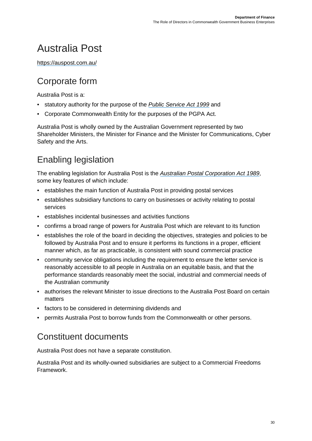# <span id="page-29-0"></span>Australia Post

<span id="page-29-1"></span><https://auspost.com.au/>

### Corporate form

Australia Post is a:

- statutory authority for the purpose of the *[Public Service Act](https://www.legislation.gov.au/Series/C2004A00538) [1999](https://www.legislation.gov.au/Series/C2004A00538)* [a](https://www.legislation.gov.au/Series/C2004A00538)nd
- Corporate Commonwealth Entity for the purposes of the PGPA Act.

Australia Post is wholly owned by the Australian Government represented by two Shareholder Ministers, the Minister for Finance and the Minister for Communications, Cyber Safety and the Arts.

## <span id="page-29-2"></span>Enabling legislation

The enabling legislation for Australia Post is the *[Australian Postal Corporation Act 1989](https://www.legislation.gov.au/Series/C2004A03812)*[,](https://www.legislation.gov.au/Series/C2004A03812) some key features of which include:

- establishes the main function of Australia Post in providing postal services
- establishes subsidiary functions to carry on businesses or activity relating to postal services
- establishes incidental businesses and activities functions
- confirms a broad range of powers for Australia Post which are relevant to its function
- establishes the role of the board in deciding the objectives, strategies and policies to be followed by Australia Post and to ensure it performs its functions in a proper, efficient manner which, as far as practicable, is consistent with sound commercial practice
- community service obligations including the requirement to ensure the letter service is reasonably accessible to all people in Australia on an equitable basis, and that the performance standards reasonably meet the social, industrial and commercial needs of the Australian community
- authorises the relevant Minister to issue directions to the Australia Post Board on certain matters
- factors to be considered in determining dividends and
- permits Australia Post to borrow funds from the Commonwealth or other persons.

#### <span id="page-29-3"></span>Constituent documents

Australia Post does not have a separate constitution.

Australia Post and its wholly-owned subsidiaries are subject to a Commercial Freedoms Framework.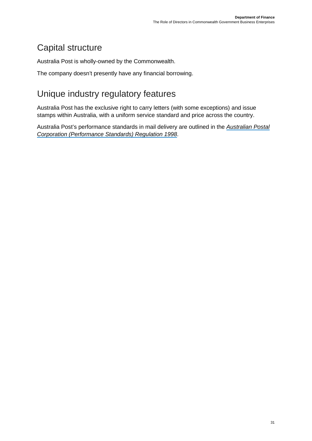## <span id="page-30-0"></span>Capital structure

Australia Post is wholly-owned by the Commonwealth.

The company doesn't presently have any financial borrowing.

# <span id="page-30-1"></span>Unique industry regulatory features

Australia Post has the exclusive right to carry letters (with some exceptions) and issue stamps within Australia, with a uniform service standard and price across the country.

Australia Post's performance standards in mail delivery are outlined in the *[Australian Postal](https://www.legislation.gov.au/Series/F1998B00091) [Corporation \(Performance Standards\)](https://www.legislation.gov.au/Series/F1998B00091) Regulation 1998*[.](https://www.legislation.gov.au/Series/F1998B00091)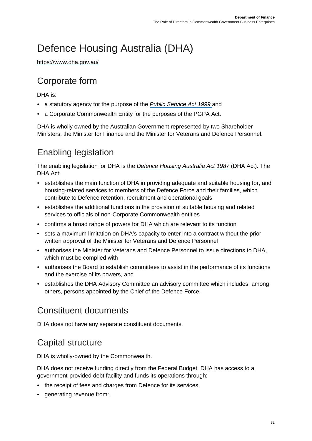# <span id="page-31-0"></span>Defence Housing Australia (DHA)

<https://www.dha.gov.au/>

### <span id="page-31-1"></span>Corporate form

DHA is:

- a statutory agency for the purpose of the *[Public Service Act 1999](https://www.legislation.gov.au/Series/C2004A00538)* [a](https://www.legislation.gov.au/Series/C2004A00538)nd
- a Corporate Commonwealth Entity for the purposes of the PGPA Act.

DHA is wholly owned by the Australian Government represented by two Shareholder Ministers, the Minister for Finance and the Minister for Veterans and Defence Personnel.

## <span id="page-31-2"></span>Enabling legislation

The enabling legislation for DHA is the *[Defence Housing Australia Act 1987](https://www.legislation.gov.au/Series/C2004A03510)* (DHA Act). The DHA Act:

- establishes the main function of DHA in providing adequate and suitable housing for, and housing-related services to members of the Defence Force and their families, which contribute to Defence retention, recruitment and operational goals
- establishes the additional functions in the provision of suitable housing and related services to officials of non-Corporate Commonwealth entities
- confirms a broad range of powers for DHA which are relevant to its function
- sets a maximum limitation on DHA's capacity to enter into a contract without the prior written approval of the Minister for Veterans and Defence Personnel
- authorises the Minister for Veterans and Defence Personnel to issue directions to DHA, which must be complied with
- authorises the Board to establish committees to assist in the performance of its functions and the exercise of its powers, and
- establishes the DHA Advisory Committee an advisory committee which includes, among others, persons appointed by the Chief of the Defence Force.

### <span id="page-31-3"></span>Constituent documents

<span id="page-31-4"></span>DHA does not have any separate constituent documents.

### Capital structure

DHA is wholly-owned by the Commonwealth.

DHA does not receive funding directly from the Federal Budget. DHA has access to a government-provided debt facility and funds its operations through:

- the receipt of fees and charges from Defence for its services
- generating revenue from: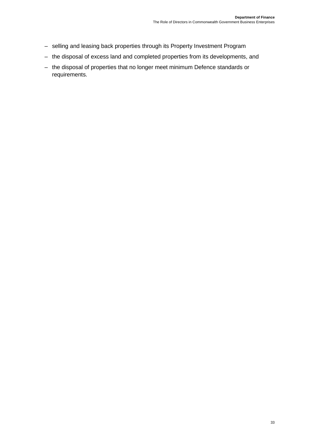- selling and leasing back properties through its Property Investment Program
- the disposal of excess land and completed properties from its developments, and
- the disposal of properties that no longer meet minimum Defence standards or requirements.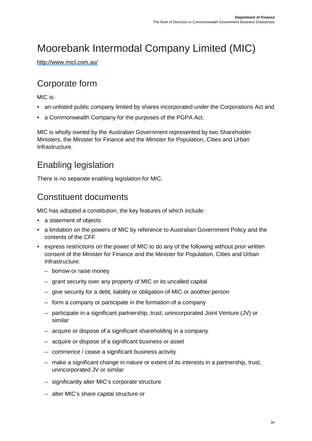# <span id="page-33-0"></span>Moorebank Intermodal Company Limited (MIC)

<http://www.micl.com.au/>

#### <span id="page-33-1"></span>Corporate form

MIC is:

- an unlisted public company limited by shares incorporated under the Corporations Act and
- a Commonwealth Company for the purposes of the PGPA Act.

MIC is wholly owned by the Australian Government represented by two Shareholder Ministers, the Minister for Finance and the Minister for Population, Cities and Urban Infrastructure.

## <span id="page-33-2"></span>Enabling legislation

<span id="page-33-3"></span>There is no separate enabling legislation for MIC.

### Constituent documents

MIC has adopted a constitution, the key features of which include:

- a statement of objects
- a limitation on the powers of MIC by reference to Australian Government Policy and the contents of the CFF
- express restrictions on the power of MIC to do any of the following without prior written consent of the Minister for Finance and the Minister for Population, Cities and Urban Infrastructure:
	- borrow or raise money
	- grant security over any property of MIC or its uncalled capital
	- give security for a debt, liability or obligation of MIC or another person
	- form a company or participate in the formation of a company
	- participate in a significant partnership, trust, unincorporated Joint Venture (JV) or similar
	- acquire or dispose of a significant shareholding in a company
	- acquire or dispose of a significant business or asset
	- commence / cease a significant business activity
	- make a significant change in nature or extent of its interests in a partnership, trust, unincorporated JV or similar
	- significantly alter MIC's corporate structure
	- alter MIC's share capital structure or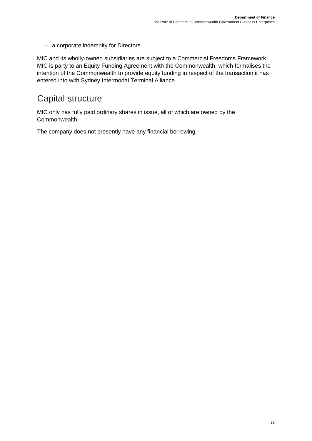– a corporate indemnity for Directors.

MIC and its wholly-owned subsidiaries are subject to a Commercial Freedoms Framework. MIC is party to an Equity Funding Agreement with the Commonwealth, which formalises the intention of the Commonwealth to provide equity funding in respect of the transaction it has entered into with Sydney Intermodal Terminal Alliance.

#### <span id="page-34-0"></span>Capital structure

MIC only has fully paid ordinary shares in issue, all of which are owned by the Commonwealth.

The company does not presently have any financial borrowing.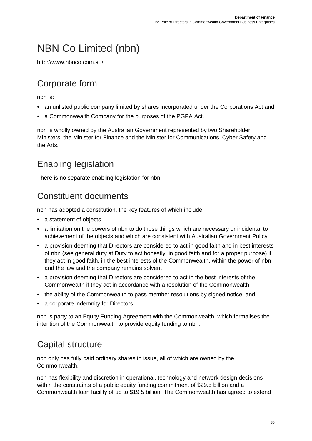# <span id="page-35-0"></span>NBN Co Limited (nbn)

<http://www.nbnco.com.au/>

### <span id="page-35-1"></span>Corporate form

nbn is:

- an unlisted public company limited by shares incorporated under the Corporations Act and
- a Commonwealth Company for the purposes of the PGPA Act.

nbn is wholly owned by the Australian Government represented by two Shareholder Ministers, the Minister for Finance and the Minister for Communications, Cyber Safety and the Arts.

## <span id="page-35-2"></span>Enabling legislation

<span id="page-35-3"></span>There is no separate enabling legislation for nbn.

## Constituent documents

nbn has adopted a constitution, the key features of which include:

- a statement of objects
- a limitation on the powers of nbn to do those things which are necessary or incidental to achievement of the objects and which are consistent with Australian Government Policy
- a provision deeming that Directors are considered to act in good faith and in best interests of nbn (see general duty at Duty to act honestly, in good faith and for a proper purpose) if they act in good faith, in the best interests of the Commonwealth, within the power of nbn and the law and the company remains solvent
- a provision deeming that Directors are considered to act in the best interests of the Commonwealth if they act in accordance with a resolution of the Commonwealth
- the ability of the Commonwealth to pass member resolutions by signed notice, and
- a corporate indemnity for Directors.

nbn is party to an Equity Funding Agreement with the Commonwealth, which formalises the intention of the Commonwealth to provide equity funding to nbn.

### <span id="page-35-4"></span>Capital structure

nbn only has fully paid ordinary shares in issue, all of which are owned by the Commonwealth.

nbn has flexibility and discretion in operational, technology and network design decisions within the constraints of a public equity funding commitment of \$29.5 billion and a Commonwealth loan facility of up to \$19.5 billion. The Commonwealth has agreed to extend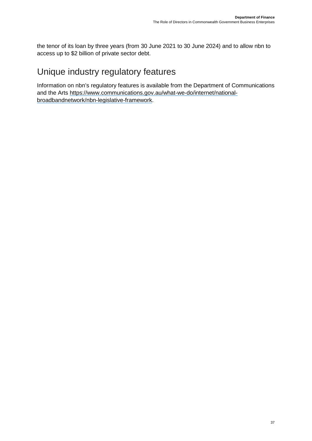the tenor of its loan by three years (from 30 June 2021 to 30 June 2024) and to allow nbn to access up to \$2 billion of private sector debt.

#### <span id="page-36-0"></span>Unique industry regulatory features

Information on nbn's regulatory features is available from the Department of Communications and the Arts [https://www.communications.gov.au/what-we-do/internet/national](https://www.communications.gov.au/what-we-do/internet/national-broadband-network/nbn-legislative-framework)[broadbandnetwork/nbn-legislative-framework.](https://www.communications.gov.au/what-we-do/internet/national-broadband-network/nbn-legislative-framework)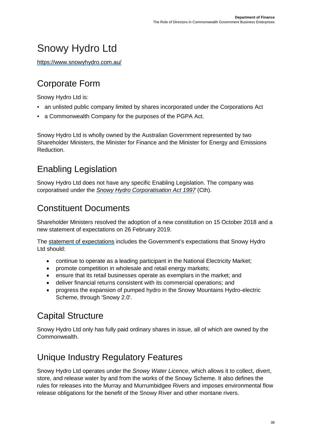# <span id="page-37-0"></span>Snowy Hydro Ltd

<https://www.snowyhydro.com.au/>

### <span id="page-37-1"></span>Corporate Form

Snowy Hydro Ltd is:

- an unlisted public company limited by shares incorporated under the Corporations Act
- a Commonwealth Company for the purposes of the PGPA Act.

Snowy Hydro Ltd is wholly owned by the Australian Government represented by two Shareholder Ministers, the Minister for Finance and the Minister for Energy and Emissions Reduction.

## <span id="page-37-2"></span>Enabling Legislation

Snowy Hydro Ltd does not have any specific Enabling Legislation. The company was corporatised under the *[Snowy Hydro Corporatisation Act 1997](https://www.legislation.gov.au/Series/C2004A05270)* (Cth).

### <span id="page-37-3"></span>Constituent Documents

Shareholder Ministers resolved the adoption of a new constitution on 15 October 2018 and a new statement of expectations on 26 February 2019.

The [statement of expectations](https://www.snowyhydro.com.au/our-business/who-we-are/statement-of-expectations/) includes the Government's expectations that Snowy Hydro Ltd should:

- continue to operate as a leading participant in the National Electricity Market;
- promote competition in wholesale and retail energy markets;
- ensure that its retail businesses operate as exemplars in the market; and
- deliver financial returns consistent with its commercial operations; and
- progress the expansion of pumped hydro in the Snowy Mountains Hydro-electric Scheme, through 'Snowy 2.0'.

### <span id="page-37-4"></span>Capital Structure

Snowy Hydro Ltd only has fully paid ordinary shares in issue, all of which are owned by the Commonwealth.

### <span id="page-37-5"></span>Unique Industry Regulatory Features

Snowy Hydro Ltd operates under the *Snowy Water Licence*, which allows it to collect, divert, store, and release water by and from the works of the Snowy Scheme. It also defines the rules for releases into the Murray and Murrumbidgee Rivers and imposes environmental flow release obligations for the benefit of the Snowy River and other montane rivers.